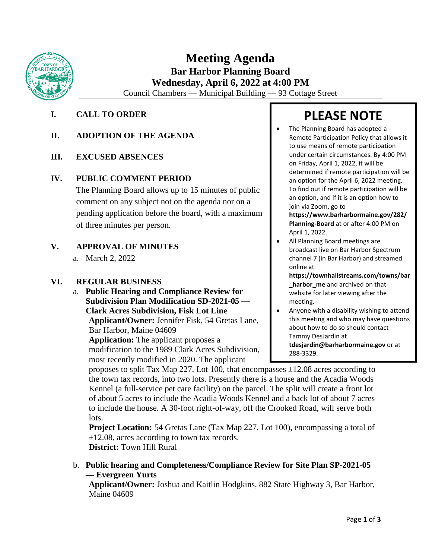

## **Meeting Agenda Bar Harbor Planning Board Wednesday, April 6, 2022 at 4:00 PM**

Council Chambers — Municipal Building — 93 Cottage Street

### **I. CALL TO ORDER**

### **II. ADOPTION OF THE AGENDA**

### **III. EXCUSED ABSENCES**

### **IV. PUBLIC COMMENT PERIOD**

The Planning Board allows up to 15 minutes of public comment on any subject not on the agenda nor on a pending application before the board, with a maximum of three minutes per person.

### **V. APPROVAL OF MINUTES**

a. March 2, 2022

### **VI. REGULAR BUSINESS**

a. **Public Hearing and Compliance Review for Subdivision Plan Modification SD-2021-05 — Clark Acres Subdivision, Fisk Lot Line Applicant/Owner:** Jennifer Fisk, 54 Gretas Lane, Bar Harbor, Maine 04609

**Application:** The applicant proposes a modification to the 1989 Clark Acres Subdivision, most recently modified in 2020. The applicant

# **PLEASE NOTE**

• The Planning Board has adopted a Remote Participation Policy that allows it to use means of remote participation under certain circumstances. By 4:00 PM on Friday, April 1, 2022, it will be determined if remote participation will be an option for the April 6, 2022 meeting. To find out if remote participation will be an option, and if it is an option how to join via Zoom, go to

**[https://www.barharbormaine.gov/282/](https://www.barharbormaine.gov/282/Planning-Board) [Planning-Board](https://www.barharbormaine.gov/282/Planning-Board)** at or after 4:00 PM on April 1, 2022.

- All Planning Board meetings are broadcast live on Bar Harbor Spectrum channel 7 (in Bar Harbor) and streamed online at
	- **[https://townhallstreams.com/towns/bar](https://townhallstreams.com/towns/bar_harbor_me) [\\_harbor\\_me](https://townhallstreams.com/towns/bar_harbor_me)** and archived on that website for later viewing after the meeting.
- Anyone with a disability wishing to attend this meeting and who may have questions about how to do so should contact Tammy DesJardin at **[tdesjardin@barharbormaine.gov](mailto:tdesjardin@barharbormaine.gov)** or at 288-3329.

proposes to split Tax Map 227, Lot 100, that encompasses  $\pm 12.08$  acres according to the town tax records, into two lots. Presently there is a house and the Acadia Woods Kennel (a full-service pet care facility) on the parcel. The split will create a front lot of about 5 acres to include the Acadia Woods Kennel and a back lot of about 7 acres to include the house. A 30-foot right-of-way, off the Crooked Road, will serve both lots.

**Project Location:** 54 Gretas Lane (Tax Map 227, Lot 100), encompassing a total of ±12.08, acres according to town tax records. **District:** Town Hill Rural

b. **Public hearing and Completeness/Compliance Review for Site Plan SP-2021-05 — Evergreen Yurts** 

**Applicant/Owner:** Joshua and Kaitlin Hodgkins, 882 State Highway 3, Bar Harbor, Maine 04609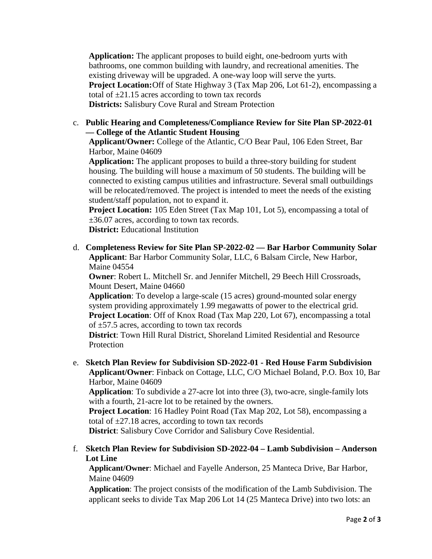**Application:** The applicant proposes to build eight, one-bedroom yurts with bathrooms, one common building with laundry, and recreational amenities. The existing driveway will be upgraded. A one-way loop will serve the yurts. **Project Location:**Off of State Highway 3 (Tax Map 206, Lot 61-2), encompassing a total of  $\pm 21.15$  acres according to town tax records **Districts:** Salisbury Cove Rural and Stream Protection

c. **Public Hearing and Completeness/Compliance Review for Site Plan SP-2022-01 — College of the Atlantic Student Housing**

**Applicant/Owner:** College of the Atlantic, C/O Bear Paul, 106 Eden Street, Bar Harbor, Maine 04609

**Application:** The applicant proposes to build a three-story building for student housing. The building will house a maximum of 50 students. The building will be connected to existing campus utilities and infrastructure. Several small outbuildings will be relocated/removed. The project is intended to meet the needs of the existing student/staff population, not to expand it.

**Project Location:** 105 Eden Street (Tax Map 101, Lot 5), encompassing a total of ±36.07 acres, according to town tax records.

**District:** Educational Institution

d. **Completeness Review for Site Plan SP-2022-02 — Bar Harbor Community Solar Applicant**: Bar Harbor Community Solar, LLC, 6 Balsam Circle, New Harbor, Maine 04554

**Owner**: Robert L. Mitchell Sr. and Jennifer Mitchell, 29 Beech Hill Crossroads, Mount Desert, Maine 04660

**Application**: To develop a large-scale (15 acres) ground-mounted solar energy system providing approximately 1.99 megawatts of power to the electrical grid. **Project Location**: Off of Knox Road (Tax Map 220, Lot 67), encompassing a total of ±57.5 acres, according to town tax records

**District**: Town Hill Rural District, Shoreland Limited Residential and Resource Protection

e. **Sketch Plan Review for Subdivision SD-2022-01 - Red House Farm Subdivision Applicant/Owner**: Finback on Cottage, LLC, C/O Michael Boland, P.O. Box 10, Bar Harbor, Maine 04609

**Application**: To subdivide a 27-acre lot into three (3), two-acre, single-family lots with a fourth, 21-acre lot to be retained by the owners.

**Project Location**: 16 Hadley Point Road (Tax Map 202, Lot 58), encompassing a total of  $\pm$ 27.18 acres, according to town tax records

**District**: Salisbury Cove Corridor and Salisbury Cove Residential.

### f. **Sketch Plan Review for Subdivision SD-2022-04 – Lamb Subdivision – Anderson Lot Line**

**Applicant/Owner**: Michael and Fayelle Anderson, 25 Manteca Drive, Bar Harbor, Maine 04609

**Application**: The project consists of the modification of the Lamb Subdivision. The applicant seeks to divide Tax Map 206 Lot 14 (25 Manteca Drive) into two lots: an